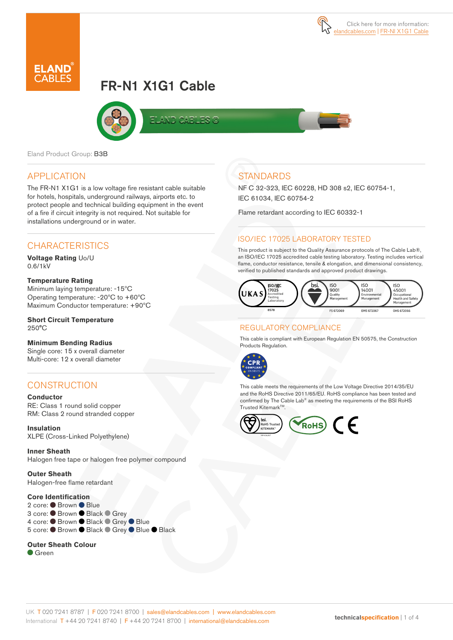

# FR-N1 X1G1 Cable



Eland Product Group: B3B

### APPLICATION

The FR-N1 X1G1 is a low voltage fire resistant cable suitable for hotels, hospitals, underground railways, airports etc. to protect people and technical building equipment in the event of a fire if circuit integrity is not required. Not suitable for installations underground or in water.

### **CHARACTERISTICS**

**Voltage Rating** Uo/U 0.6/1kV

#### **Temperature Rating**

Minimum laying temperature: -15ºC Operating temperature: -20ºC to +60ºC Maximum Conductor temperature: +90ºC

#### **Short Circuit Temperature**  250°C

#### **Minimum Bending Radius**

Single core: 15 x overall diameter Multi-core: 12 x overall diameter

### **CONSTRUCTION**

**Conductor** RE: Class 1 round solid copper RM: Class 2 round stranded copper

**Insulation** XLPE (Cross-Linked Polyethylene)

**Inner Sheath** Halogen free tape or halogen free polymer compound

**Outer Sheath**  Halogen-free flame retardant

#### **Core Identification**

2 core: ● Brown ● Blue 3 core: ● Brown ● Black ● Grey 4 core: ● Brown ● Black ● Grey ● Blue 5 core: ● Brown ● Black ● Grey ● Blue ● Black

#### **Outer Sheath Colour**

Green

# **STANDARDS**

NF C 32-323, IEC 60228, HD 308 s2, IEC 60754-1, IEC 61034, IEC 60754-2

Flame retardant according to IEC 60332-1

### ISO/IEC 17025 LABORATORY TESTED

This product is subject to the Quality Assurance protocols of The Cable Lab®, an ISO/IEC 17025 accredited cable testing laboratory. Testing includes vertical flame, conductor resistance, tensile & elongation, and dimensional consistency, verified to published standards and approved product drawings.



#### REGULATORY COMPLIANCE

This cable is compliant with European Regulation EN 50575, the Construction Products Regulation.



This cable meets the requirements of the Low Voltage Directive 2014/35/EU and the RoHS Directive 2011/65/EU. RoHS compliance has been tested and confirmed by The Cable Lab® as meeting the requirements of the BSI RoHS Trusted Kitemark™.

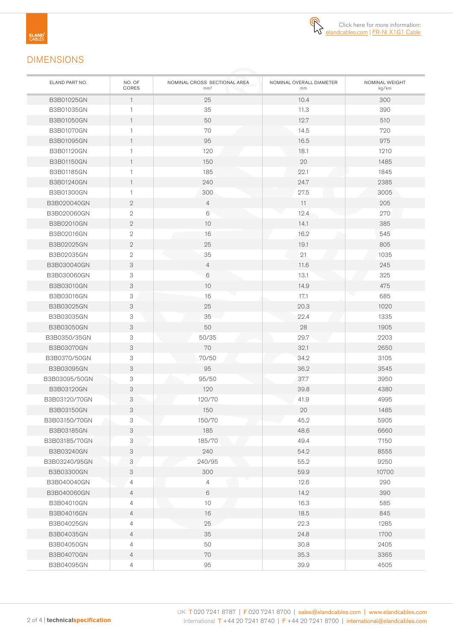

# DIMENSIONS

| ELAND PART NO.    | NO. OF<br>CORES | NOMINAL CROSS SECTIONAL AREA<br>mm <sup>2</sup> | NOMINAL OVERALL DIAMETER<br>mm | NOMINAL WEIGHT<br>kg/km |
|-------------------|-----------------|-------------------------------------------------|--------------------------------|-------------------------|
| B3B01025GN        | $\mathbf{1}$    | 25                                              | 10.4                           | 300                     |
| B3B01035GN        |                 | 35                                              | 11.3                           | 390                     |
| B3B01050GN        | $\mathbf{1}$    | 50                                              | 12.7                           | 510                     |
| B3B01070GN        | $\mathbf{1}$    | 70                                              | 14.5                           | 720                     |
| <b>B3B01095GN</b> | $\mathbf{1}$    | 95                                              | 16.5                           | 975                     |
| B3B01120GN        | 1               | 120                                             | 18.1                           | 1210                    |
| B3B01150GN        | $\mathbf{1}$    | 150                                             | 20                             | 1485                    |
| <b>B3B01185GN</b> | 1               | 185                                             | 22.1                           | 1845                    |
| B3B01240GN        | $\mathbf{1}$    | 240                                             | 24.7                           | 2385                    |
| B3B01300GN        | 1               | 300                                             | 27.5                           | 3005                    |
| B3B020040GN       | $\overline{2}$  | $\overline{4}$                                  | 11                             | 205                     |
| B3B020060GN       | $\mathbf{2}$    | 6                                               | 12.4                           | 270                     |
| B3B02010GN        | $\mathbf{2}$    | 10                                              | 14.1                           | 385                     |
| B3B02016GN        | $\mathbf{2}$    | 16                                              | 16.2                           | 545                     |
| B3B02025GN        | $\mathbf{2}$    | 25                                              | 19.1                           | 805                     |
| B3B02035GN        | $\mathbf{2}$    | 35                                              | 21                             | 1035                    |
| B3B030040GN       | 3               | 4                                               | 11.6                           | 245                     |
| B3B030060GN       | 3               | 6                                               | 13.1                           | 325                     |
| B3B03010GN        | 3               | 10                                              | 14.9                           | 475                     |
| B3B03016GN        | 3               | 16                                              | 17.1                           | 685                     |
| B3B03025GN        | 3               | 25                                              | 20.3                           | 1020                    |
| B3B03035GN        | 3               | 35                                              | 22.4                           | 1335                    |
| B3B03050GN        | 3               | 50                                              | 28                             | 1905                    |
| B3B0350/35GN      | 3               | 50/35                                           | 29.7                           | 2203                    |
| B3B03070GN        | 3               | 70                                              | 32.1                           | 2650                    |
| B3B0370/50GN      | 3               | 70/50                                           | 34.2                           | 3105                    |
| B3B03095GN        | 3               | 95                                              | 36.2                           | 3545                    |
| B3B03095/50GN     | 3               | 95/50                                           | 37.7                           | 3950                    |
| B3B03120GN        | 3               | 120                                             | 39.8                           | 4380                    |
| B3B03120/70GN     | 3               | 120/70                                          | 41.9                           | 4995                    |
| <b>B3B03150GN</b> | 3               | 150                                             | 20                             | 1485                    |
| B3B03150/70GN     | З               | 150/70                                          | 45.2                           | 5905                    |
| B3B03185GN        | 3               | 185                                             | 48.6                           | 6660                    |
| B3B03185/70GN     | 3               | 185/70                                          | 49.4                           | 7150                    |
| B3B03240GN        | 3               | 240                                             | 54.2                           | 8555                    |
| B3B03240/95GN     | 3               | 240/95                                          | 55.2                           | 9250                    |
| B3B03300GN        | 3               | 300                                             | 59.9                           | 10700                   |
| B3B040040GN       | 4               | 4                                               | 12.6                           | 290                     |
| B3B040060GN       | $\overline{4}$  | 6                                               | 14.2                           | 390                     |
| B3B04010GN        | 4               | 10                                              | 16.3                           | 585                     |
| B3B04016GN        | $\overline{4}$  | 16                                              | 18.5                           | 845                     |
| B3B04025GN        | 4               | 25                                              | 22.3                           | 1285                    |
| B3B04035GN        | $\overline{4}$  | 35                                              | 24.8                           | 1700                    |
| B3B04050GN        | 4               | 50                                              | 30.8                           | 2405                    |
| B3B04070GN        | $\overline{4}$  | 70                                              | 35.3                           | 3365                    |
| B3B04095GN        | 4               | 95                                              | 39.9                           | 4505                    |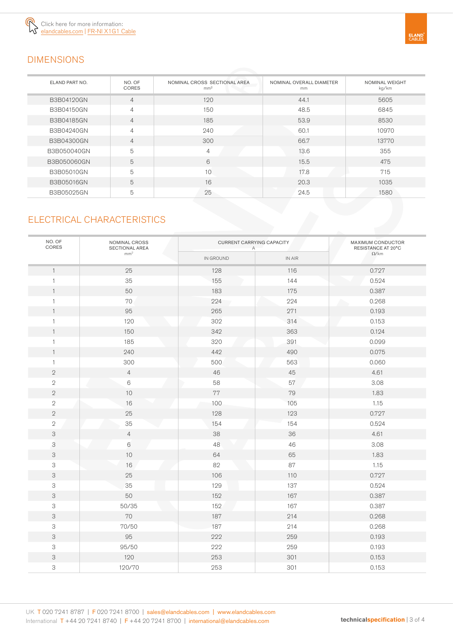

# DIMENSIONS

| ELAND PART NO. | NO. OF<br><b>CORES</b> | NOMINAL CROSS SECTIONAL AREA<br>mm <sup>2</sup> | NOMINAL OVERALL DIAMETER<br>mm | <b>NOMINAL WEIGHT</b><br>kg/km |
|----------------|------------------------|-------------------------------------------------|--------------------------------|--------------------------------|
| B3B04120GN     | 4                      | 120                                             | 44.1                           | 5605                           |
| B3B04150GN     | 4                      | 150                                             | 48.5                           | 6845                           |
| B3B04185GN     | $\overline{4}$         | 185                                             | 53.9                           | 8530                           |
| B3B04240GN     | $\overline{4}$         | 240                                             | 60.1                           | 10970                          |
| B3B04300GN     | $\overline{4}$         | 300                                             | 66.7                           | 13770                          |
| B3B050040GN    | 5                      | 4                                               | 13.6                           | 355                            |
| B3B050060GN    | 5                      | 6                                               | 15.5                           | 475                            |
| B3B05010GN     | 5                      | 10                                              | 17.8                           | 715                            |
| B3B05016GN     | 5                      | 16                                              | 20.3                           | 1035                           |
| B3B05025GN     | 5                      | 25                                              | 24.5                           | 1580                           |

## ELECTRICAL CHARACTERISTICS

| NO. OF<br>CORES           | NOMINAL CROSS<br>SECTIONAL AREA<br>mm <sup>2</sup> | CURRENT CARRYING CAPACITY<br>Α |                                       | MAXIMUM CONDUCTOR<br>RESISTANCE AT 20°C |
|---------------------------|----------------------------------------------------|--------------------------------|---------------------------------------|-----------------------------------------|
|                           |                                                    | IN GROUND                      | $\ensuremath{\mathsf{IN}}\xspace$ AIR | $\Omega$ /km                            |
| $\mathbf{1}$              | 25                                                 | 128                            | 116                                   | 0.727                                   |
| 1                         | 35                                                 | 155                            | 144                                   | 0.524                                   |
| $\mathbf{1}$              | 50                                                 | 183                            | 175                                   | 0.387                                   |
| $\mathbf{1}$              | 70                                                 | 224                            | 224                                   | 0.268                                   |
| $\mathbf{1}$              | 95                                                 | 265                            | 271                                   | 0.193                                   |
| $\mathbf{1}$              | 120                                                | 302                            | 314                                   | 0.153                                   |
| $\mathbf{1}$              | 150                                                | 342                            | 363                                   | 0.124                                   |
| $\mathbf{1}$              | 185                                                | 320                            | 391                                   | 0.099                                   |
| $\mathbf{1}$              | 240                                                | 442                            | 490                                   | 0.075                                   |
| $\mathbf{1}$              | 300                                                | 500                            | 563                                   | 0.060                                   |
| $\sqrt{2}$                | $\overline{4}$                                     | 46                             | 45                                    | 4.61                                    |
| $\sqrt{2}$                | $\,6\,$                                            | 58                             | 57                                    | 3.08                                    |
| $\overline{2}$            | $10$                                               | 77                             | 79                                    | 1.83                                    |
| $\sqrt{2}$                | 16                                                 | 100                            | 105                                   | 1.15                                    |
| $\sqrt{2}$                | $25\,$                                             | 128                            | 123                                   | 0.727                                   |
| $\sqrt{2}$                | 35                                                 | 154                            | 154                                   | 0.524                                   |
| $\ensuremath{\mathsf{3}}$ | $\overline{4}$                                     | 38                             | 36                                    | 4.61                                    |
| 3                         | 6                                                  | 48                             | 46                                    | 3.08                                    |
| $\ensuremath{\mathsf{3}}$ | $10$                                               | 64                             | 65                                    | 1.83                                    |
| $\ensuremath{\mathsf{3}}$ | 16                                                 | 82                             | 87                                    | 1.15                                    |
| $\ensuremath{\mathsf{3}}$ | $25\,$                                             | 106                            | $110$                                 | 0.727                                   |
| $\ensuremath{\mathsf{3}}$ | 35                                                 | 129                            | 137                                   | 0.524                                   |
| $\ensuremath{\mathsf{3}}$ | 50                                                 | 152                            | 167                                   | 0.387                                   |
| $\ensuremath{\mathsf{3}}$ | 50/35                                              | 152                            | 167                                   | 0.387                                   |
| $\ensuremath{\mathsf{3}}$ | 70                                                 | 187                            | 214                                   | 0.268                                   |
| $\ensuremath{\mathsf{3}}$ | 70/50                                              | 187                            | 214                                   | 0.268                                   |
| $\ensuremath{\mathsf{3}}$ | 95                                                 | 222                            | 259                                   | 0.193                                   |
| $\ensuremath{\mathsf{3}}$ | 95/50                                              | 222                            | 259                                   | 0.193                                   |
| 3                         | 120                                                | 253                            | 301                                   | 0.153                                   |
| $\ensuremath{\mathsf{3}}$ | 120/70                                             | 253                            | 301                                   | 0.153                                   |